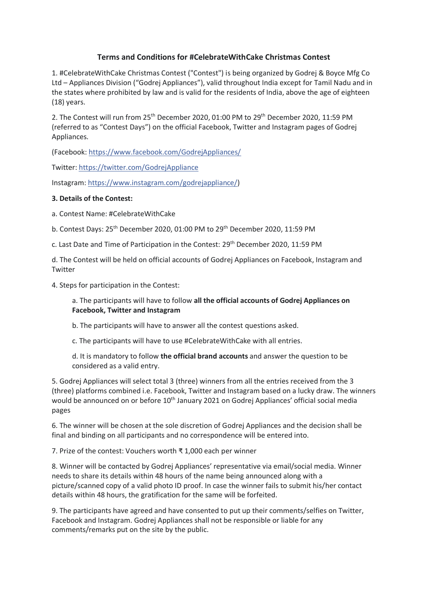## **Terms and Conditions for #CelebrateWithCake Christmas Contest**

1. #CelebrateWithCake Christmas Contest ("Contest") is being organized by Godrej & Boyce Mfg Co Ltd – Appliances Division ("Godrej Appliances"), valid throughout India except for Tamil Nadu and in the states where prohibited by law and is valid for the residents of India, above the age of eighteen (18) years.

2. The Contest will run from 25<sup>th</sup> December 2020, 01:00 PM to 29<sup>th</sup> December 2020, 11:59 PM (referred to as "Contest Days") on the official Facebook, Twitter and Instagram pages of Godrej Appliances.

(Facebook[: https://www.facebook.com/GodrejAppliances/](https://www.facebook.com/GodrejAppliances/)

Twitter: [https://twitter.com/GodrejAppliance](https://l.facebook.com/l.php?u=https%3A%2F%2Ftwitter.com%2FGodrejAppliance%3Ffbclid%3DIwAR01lZA1toGUuozJGAmKllGH70bajiTpuFpJe83a4OH-pHjJxcoejA9ho88&h=AT0pLKSVDbF1tQDuQdyEfs_boQg3haqn0odnE8W1iCEB-gW8_3NFC4EVU31DRmL4rv1Y2GX2OgquwWV7f873t1ghB2RByM4HhBZStJOgmObJHyOyAbqPIWvybX2bLGmprBk)

Instagram[: https://www.instagram.com/godrejappliance/\)](https://l.facebook.com/l.php?u=https%3A%2F%2Fwww.instagram.com%2Fgodrejappliance%2F%3Ffbclid%3DIwAR0e_Z3BEjp70Rf7wb7bZkujeDAmcyf8GAaaV2FWBhTjs5ddwnCJ7MAwnTs&h=AT0pLKSVDbF1tQDuQdyEfs_boQg3haqn0odnE8W1iCEB-gW8_3NFC4EVU31DRmL4rv1Y2GX2OgquwWV7f873t1ghB2RByM4HhBZStJOgmObJHyOyAbqPIWvybX2bLGmprBk)

## **3. Details of the Contest:**

a. Contest Name: #CelebrateWithCake

b. Contest Days: 25<sup>th</sup> December 2020, 01:00 PM to 29<sup>th</sup> December 2020, 11:59 PM

c. Last Date and Time of Participation in the Contest: 29<sup>th</sup> December 2020, 11:59 PM

d. The Contest will be held on official accounts of Godrej Appliances on Facebook, Instagram and **Twitter** 

4. Steps for participation in the Contest:

## a. The participants will have to follow **all the official accounts of Godrej Appliances on Facebook, Twitter and Instagram**

b. The participants will have to answer all the contest questions asked.

c. The participants will have to use #CelebrateWithCake with all entries.

d. It is mandatory to follow **the official brand accounts** and answer the question to be considered as a valid entry.

5. Godrej Appliances will select total 3 (three) winners from all the entries received from the 3 (three) platforms combined i.e. Facebook, Twitter and Instagram based on a lucky draw. The winners would be announced on or before 10<sup>th</sup> January 2021 on Godrej Appliances' official social media pages

6. The winner will be chosen at the sole discretion of Godrej Appliances and the decision shall be final and binding on all participants and no correspondence will be entered into.

7. Prize of the contest: Vouchers worth ₹ 1,000 each per winner

8. Winner will be contacted by Godrej Appliances' representative via email/social media. Winner needs to share its details within 48 hours of the name being announced along with a picture/scanned copy of a valid photo ID proof. In case the winner fails to submit his/her contact details within 48 hours, the gratification for the same will be forfeited.

9. The participants have agreed and have consented to put up their comments/selfies on Twitter, Facebook and Instagram. Godrej Appliances shall not be responsible or liable for any comments/remarks put on the site by the public.